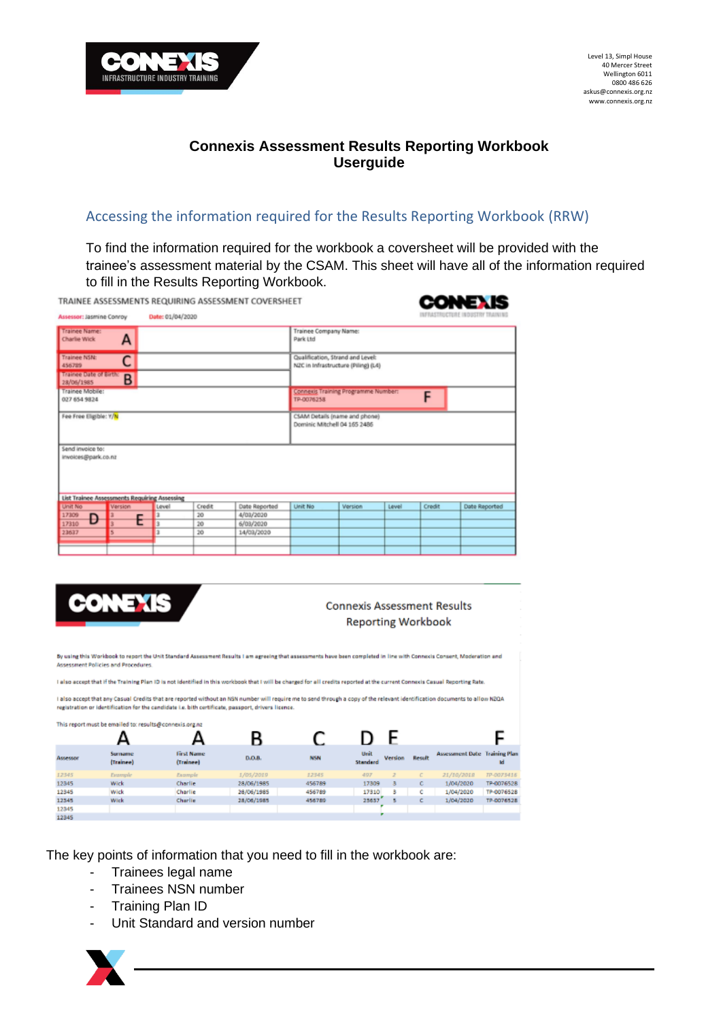

# **Connexis Assessment Results Reporting Workbook Userguide**

## Accessing the information required for the Results Reporting Workbook (RRW)

To find the information required for the workbook a coversheet will be provided with the trainee's assessment material by the CSAM. This sheet will have all of the information required to fill in the Results Reporting Workbook. . . . . .

|                                                    |                                                         |                  |        | TRAINEE ASSESSMENTS REQUIRING ASSESSMENT COVERSHEET |                                   |                                                                         |       |        | CONEX IS                |
|----------------------------------------------------|---------------------------------------------------------|------------------|--------|-----------------------------------------------------|-----------------------------------|-------------------------------------------------------------------------|-------|--------|-------------------------|
| Assessor: Jasmine Conroy                           |                                                         | Date: 01/04/2020 |        |                                                     |                                   |                                                                         |       |        | RASTRUCTURE INDUSTRY TR |
| Trainee Name:<br><b>Charlie Wick</b>               | A                                                       |                  |        |                                                     | Trainee Company Name:<br>Park Ltd |                                                                         |       |        |                         |
| Trainee NSN:<br>456789<br>Trainee Date of Birth: B | С                                                       |                  |        |                                                     |                                   | Qualification, Strand and Level:<br>NZC in Infrastructure (Piling) (L4) |       |        |                         |
| Trainee Mobile:<br>027 654 9824                    |                                                         |                  |        |                                                     | TP-0076258                        | <b>Connexis Training Programme Number:</b>                              |       | F      |                         |
| Fee Free Eligible: Y/N                             |                                                         |                  |        |                                                     |                                   | CSAM Details (name and phone)<br>Dominic Mitchell 04 165 2486           |       |        |                         |
| Send invoice to:<br>invoices@park.co.nz            |                                                         |                  |        |                                                     |                                   |                                                                         |       |        |                         |
| Unit No                                            | List Trainee Assessments Requiring Assessing<br>Version | Level            | Credit | Date Reported                                       | <b>Unit No</b>                    | <b>Version</b>                                                          | Level | Credit | Date Reported           |
| 17309                                              |                                                         |                  | 20     | 4/03/2020                                           |                                   |                                                                         |       |        |                         |
| Ð<br>17310                                         |                                                         |                  | 20     | 6/03/2020                                           |                                   |                                                                         |       |        |                         |
| 23637                                              |                                                         |                  | 20     | 14/03/2020                                          |                                   |                                                                         |       |        |                         |
|                                                    |                                                         |                  |        |                                                     |                                   |                                                                         |       |        |                         |

|          | ONEXIS                                                  |                                                                                                                                                                              |            |            | <b>Connexis Assessment Results</b><br><b>Reporting Workbook</b> |                |        |                                      |            |
|----------|---------------------------------------------------------|------------------------------------------------------------------------------------------------------------------------------------------------------------------------------|------------|------------|-----------------------------------------------------------------|----------------|--------|--------------------------------------|------------|
|          | Assessment Policies and Procedures.                     | By using this Workbook to report the Unit Standard Assessment Results I am agreeing that assessments have been completed in line with Connexis Consent, Moderation and       |            |            |                                                                 |                |        |                                      |            |
|          |                                                         |                                                                                                                                                                              |            |            |                                                                 |                |        |                                      |            |
|          |                                                         | I also accept that if the Training Plan ID is not identified in this workbook that I will be charged for all credits reported at the current Connexis Casual Reporting Rate. |            |            |                                                                 |                |        |                                      |            |
|          |                                                         | i also accept that any Casual Credits that are reported without an NSN number will require me to send through a copy of the relevant identification documents to allow N2QA  |            |            |                                                                 |                |        |                                      |            |
|          |                                                         | registration or identification for the candidate i.e. bith certificate, passport, drivers licence.                                                                           |            |            |                                                                 |                |        |                                      |            |
|          | This report must be emailed to: results@connexis.org.nz |                                                                                                                                                                              |            |            |                                                                 |                |        |                                      |            |
|          |                                                         |                                                                                                                                                                              | B          | C          |                                                                 | ۳              |        |                                      |            |
| Assessor | Surname<br>(Trainee)                                    | <b>First Name</b><br>(Trainee)                                                                                                                                               | D.O.B.     | <b>NSN</b> | Unit<br>Standard                                                | <b>Version</b> | Result | <b>Assessment Date Training Plan</b> | M          |
| 12345    | Example                                                 | Example                                                                                                                                                                      | 1/05/2019  | 12345      | 497                                                             | $\overline{z}$ | c      | 21/10/2012                           | TP-0075416 |
| 12345    | Wick                                                    | Charlie                                                                                                                                                                      | 28/06/1985 | 456789     | 17309                                                           | а              | с      | 1/04/2020                            | TP-0076528 |
| 12345    | Wick                                                    | Charlie                                                                                                                                                                      | 28/06/1985 | 456789     | 17310                                                           | 3              | c      | 1/04/2020                            | TP-0076528 |
| 12345    | Wick                                                    | Charlie                                                                                                                                                                      | 28/06/1985 | 456789     | 25657                                                           | в              | с      | 1/04/2020                            | TP-0076528 |
| 12345    |                                                         |                                                                                                                                                                              |            |            |                                                                 |                |        |                                      |            |
| 12345    |                                                         |                                                                                                                                                                              |            |            |                                                                 |                |        |                                      |            |

The key points of information that you need to fill in the workbook are:

- Trainees legal name
- Trainees NSN number
- Training Plan ID
- Unit Standard and version number

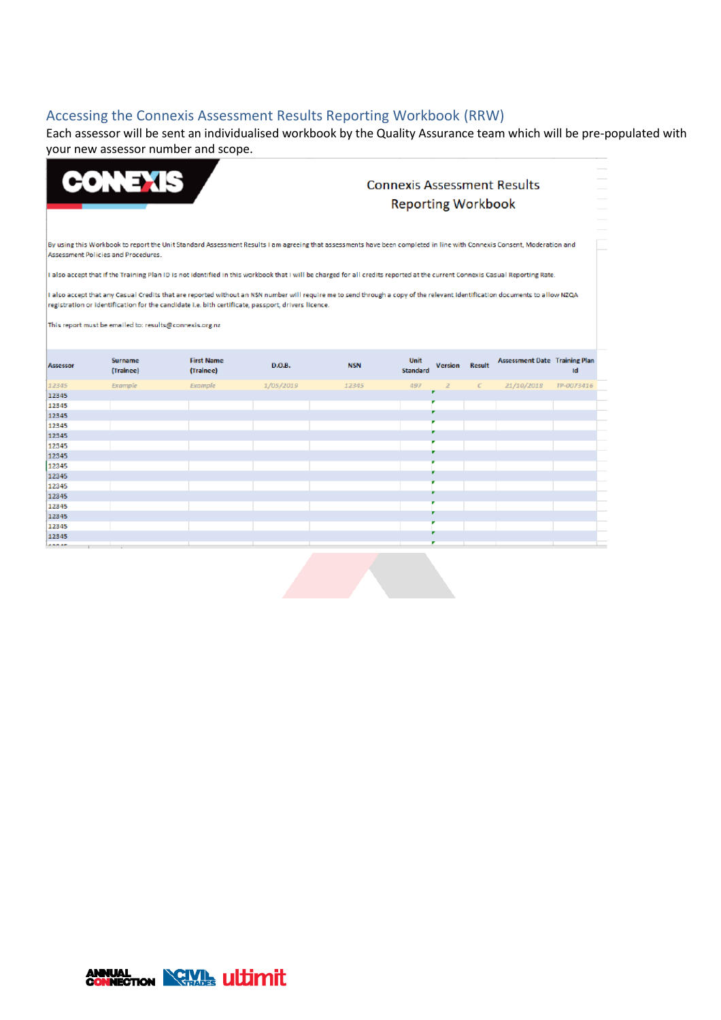## Accessing the Connexis Assessment Results Reporting Workbook (RRW)

Each assessor will be sent an individualised workbook by the Quality Assurance team which will be pre-populated with your new assessor number and scope.

|                 | <b>ONEXIS</b>                                           |                                                                                                                                                                                                                                                                                   |           |            | <b>Connexis Assessment Results</b><br><b>Reporting Workbook</b> |               |                                      |            |  |
|-----------------|---------------------------------------------------------|-----------------------------------------------------------------------------------------------------------------------------------------------------------------------------------------------------------------------------------------------------------------------------------|-----------|------------|-----------------------------------------------------------------|---------------|--------------------------------------|------------|--|
|                 | Assessment Policies and Procedures.                     | By using this Workbook to report the Unit Standard Assessment Results I am agreeing that assessments have been completed in line with Connexis Consent, Moderation and                                                                                                            |           |            |                                                                 |               |                                      |            |  |
|                 |                                                         | I also accept that if the Training Plan ID is not identified in this workbook that I will be charged for all credits reported at the current Connexis Casual Reporting Rate.                                                                                                      |           |            |                                                                 |               |                                      |            |  |
|                 | This report must be emailed to: results@connexis.org.nz | I also accept that any Casual Credits that are reported without an NSN number will require me to send through a copy of the relevant identification documents to allow NZQA<br>registration or identification for the candidate i.e. bith certificate, passport, drivers licence. |           |            |                                                                 |               |                                      |            |  |
| Assessor        | Surname<br>(Trainee)                                    | <b>First Name</b><br>(Trainee)                                                                                                                                                                                                                                                    | D.O.B.    | <b>NSN</b> | Unit<br><b>Version</b><br>Standard                              | <b>Result</b> | <b>Assessment Date Training Plan</b> | ıd         |  |
| 12345           | Example                                                 | Example                                                                                                                                                                                                                                                                           | 1/05/2019 | 12345      | 497<br>$\overline{z}$                                           | $\epsilon$    | 21/10/2018                           | TP-0073416 |  |
| 12345           |                                                         |                                                                                                                                                                                                                                                                                   |           |            |                                                                 |               |                                      |            |  |
| 12545           |                                                         |                                                                                                                                                                                                                                                                                   |           |            |                                                                 |               |                                      |            |  |
| 12545           |                                                         |                                                                                                                                                                                                                                                                                   |           |            |                                                                 |               |                                      |            |  |
| 12545           |                                                         |                                                                                                                                                                                                                                                                                   |           |            |                                                                 |               |                                      |            |  |
| 12545           |                                                         |                                                                                                                                                                                                                                                                                   |           |            |                                                                 |               |                                      |            |  |
| 12545           |                                                         |                                                                                                                                                                                                                                                                                   |           |            |                                                                 |               |                                      |            |  |
| 12545           |                                                         |                                                                                                                                                                                                                                                                                   |           |            |                                                                 |               |                                      |            |  |
| 12345           |                                                         |                                                                                                                                                                                                                                                                                   |           |            |                                                                 |               |                                      |            |  |
| 12345           |                                                         |                                                                                                                                                                                                                                                                                   |           |            |                                                                 |               |                                      |            |  |
| 12345           |                                                         |                                                                                                                                                                                                                                                                                   |           |            |                                                                 |               |                                      |            |  |
| 12345           |                                                         |                                                                                                                                                                                                                                                                                   |           |            |                                                                 |               |                                      |            |  |
| 12345           |                                                         |                                                                                                                                                                                                                                                                                   |           |            |                                                                 |               |                                      |            |  |
| 12345           |                                                         |                                                                                                                                                                                                                                                                                   |           |            |                                                                 |               |                                      |            |  |
| 12345           |                                                         |                                                                                                                                                                                                                                                                                   |           |            |                                                                 |               |                                      |            |  |
| 12545<br>488.48 |                                                         |                                                                                                                                                                                                                                                                                   |           |            |                                                                 |               |                                      |            |  |
|                 |                                                         |                                                                                                                                                                                                                                                                                   |           |            |                                                                 |               |                                      |            |  |

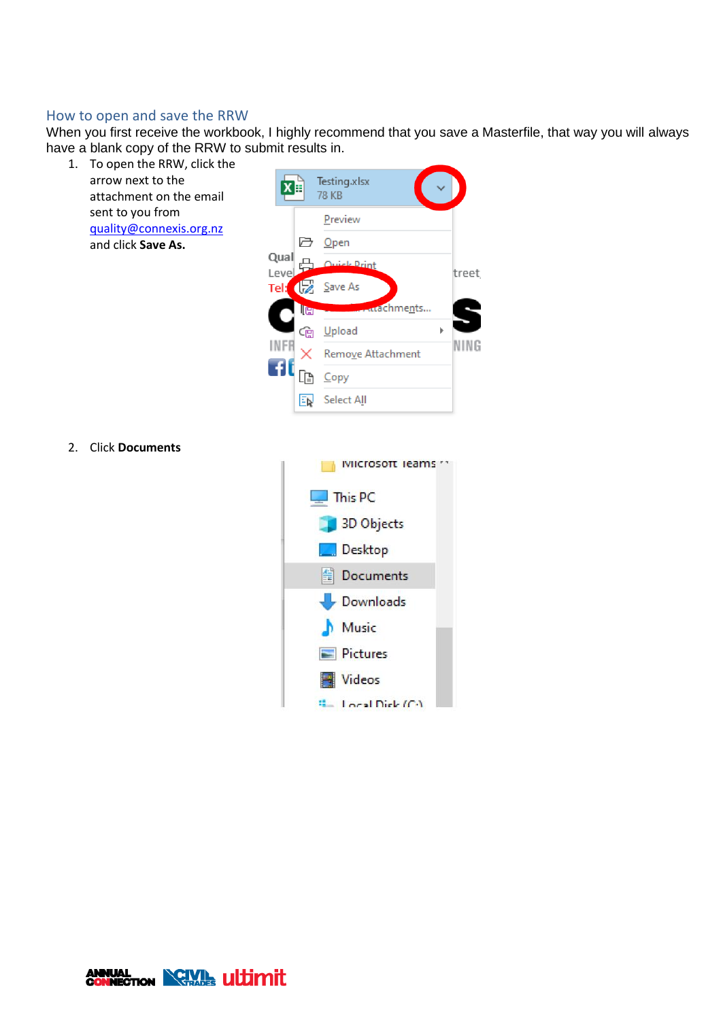### How to open and save the RRW

When you first receive the workbook, I highly recommend that you save a Masterfile, that way you will always have a blank copy of the RRW to submit results in.

1. To open the RRW, click the arrow next to the attachment on the email sent to you from [quality@connexis.org.nz](mailto:quality@connexis.org.nz) and click **Save As.**

|                 |     | Testing.xlsx<br>78 KB              |       |
|-----------------|-----|------------------------------------|-------|
|                 |     | Preview                            |       |
|                 |     | □ Open                             |       |
| Qual<br>Leve    |     | <u> Mick Print</u>                 | treet |
| Tel: $\sqrt{Z}$ |     | Save As                            |       |
|                 | le  | <b><i><u>Andele</u> hments</i></b> |       |
|                 | රලු | Upload                             |       |
|                 |     | Remove Attachment                  |       |
|                 |     | Copy                               |       |
|                 |     | Select All                         |       |

2. Click **Documents**



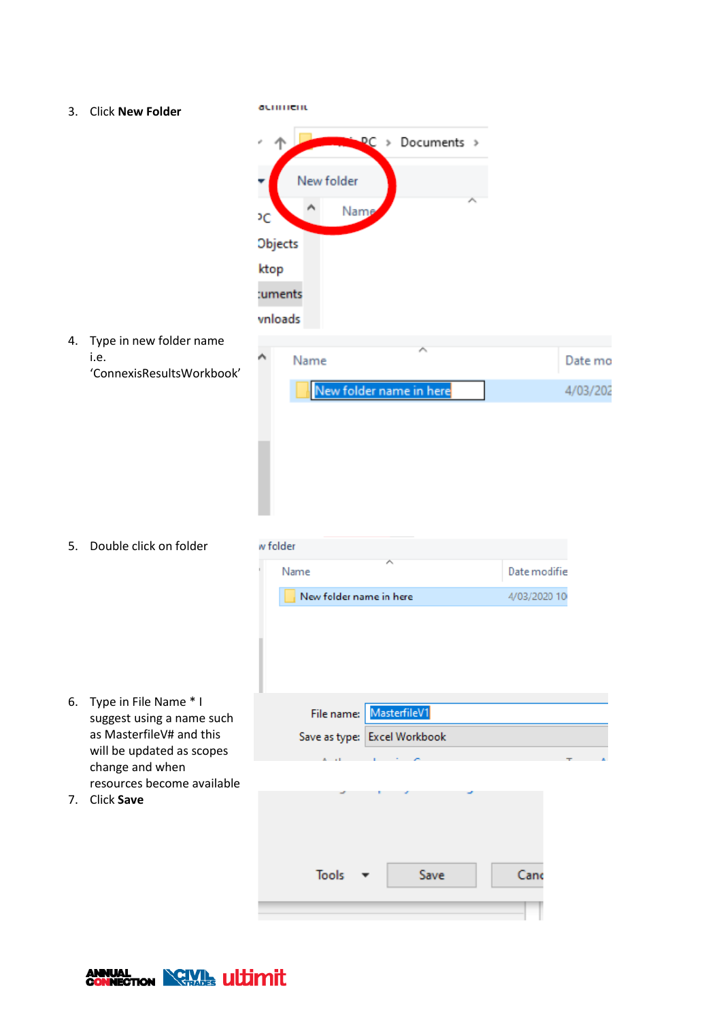acument 3. Click **New Folder**  $PC \rightarrow Documents$ New folder Nam  $\overline{C}$ Objects ktop :uments vnloads 4. Type in new folder name Ä i.e. Name Date mo 'ConnexisResultsWorkbook' New folder name in here 4/03/202 5. Double click on folder w folder Name Date modifie New folder name in here 4/03/2020 10 6. Type in File Name \* I File name: MasterfileV1 suggest using a name such as MasterfileV# and this Save as type: Excel Workbook will be updated as scopes change and when resources become available 7. Click **SaveTools** Save Cand

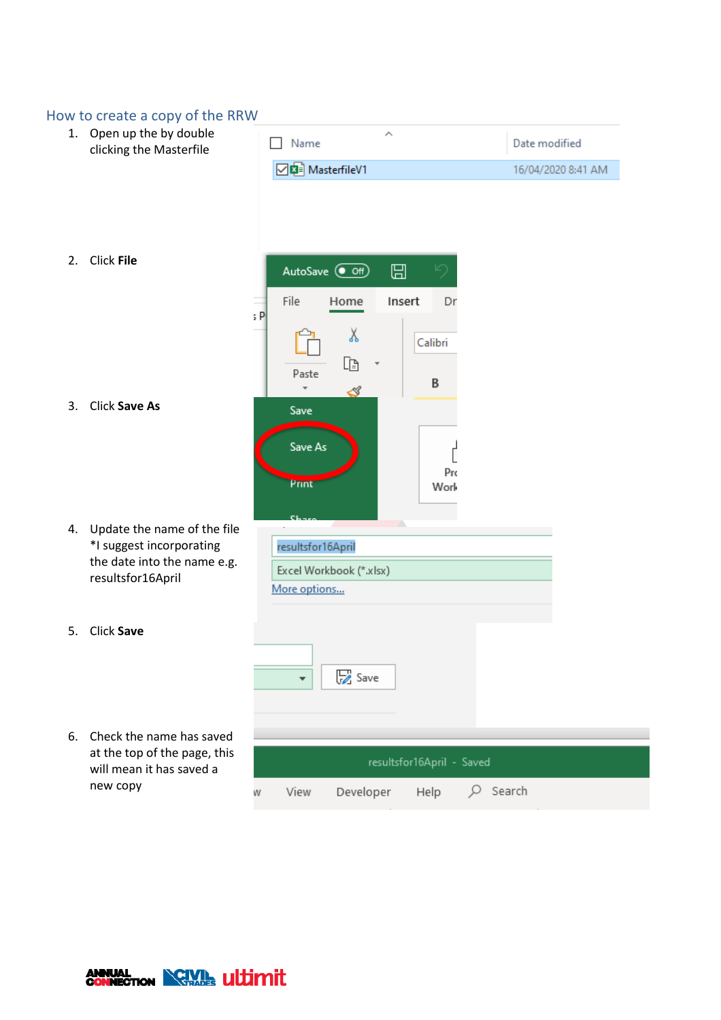|                                                     | How to create a copy of the RRW                                                                             |                                                                                        |                    |
|-----------------------------------------------------|-------------------------------------------------------------------------------------------------------------|----------------------------------------------------------------------------------------|--------------------|
| 1. Open up the by double<br>clicking the Masterfile |                                                                                                             | ∧<br>Name                                                                              | Date modified      |
|                                                     |                                                                                                             | <b>DE</b> MasterfileV1                                                                 | 16/04/2020 8:41 AM |
| 2.                                                  | Click File                                                                                                  | AutoSave <sup>1</sup><br>⊞<br>り<br>File<br>Insert<br>Home<br>Dr                        |                    |
| 3.                                                  | <b>Click Save As</b>                                                                                        | ; P<br>Х<br>Calibri<br>Ù<br>Paste<br>B<br>⊲<br>Save<br>Save As<br>Pro<br>Print<br>Work |                    |
| 4.                                                  | Update the name of the file<br>*I suggest incorporating<br>the date into the name e.g.<br>resultsfor16April | resultsfor16April<br>Excel Workbook (*.xlsx)<br>More options                           |                    |
| 5.                                                  | Click Save                                                                                                  | Save<br>¥                                                                              |                    |
| 6.                                                  | Check the name has saved<br>at the top of the page, this<br>will mean it has saved a<br>new copy            | resultsfor16April - Saved<br>View<br>Developer<br>Q<br>Help<br>W                       | Search             |

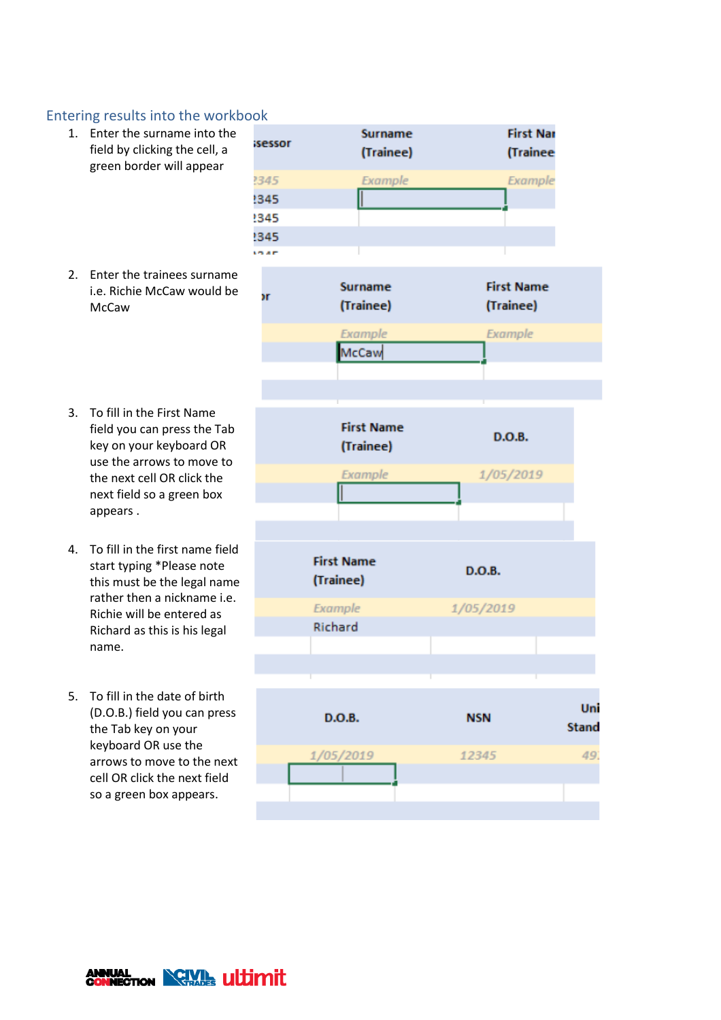## Entering results into the workbook

- 1. Enter the surname into the field by clicking the cell, a green border will appear
- 2. Enter the trainees surname i.e. Richie McCaw would be **McCaw**
- 3. To fill in the First Name field you can press the Tab key on your keyboard OR use the arrows to move to the next cell OR click the next field so a green box appears .
- 4. To fill in the first name field start typing \*Please note this must be the legal name rather then a nickname i.e. Richie will be entered as Richard as this is his legal name.
- 5. To fill in the date of birth (D.O.B.) field you can press the Tab key on your keyboard OR use the arrows to move to the next cell OR click the next field so a green box appears.



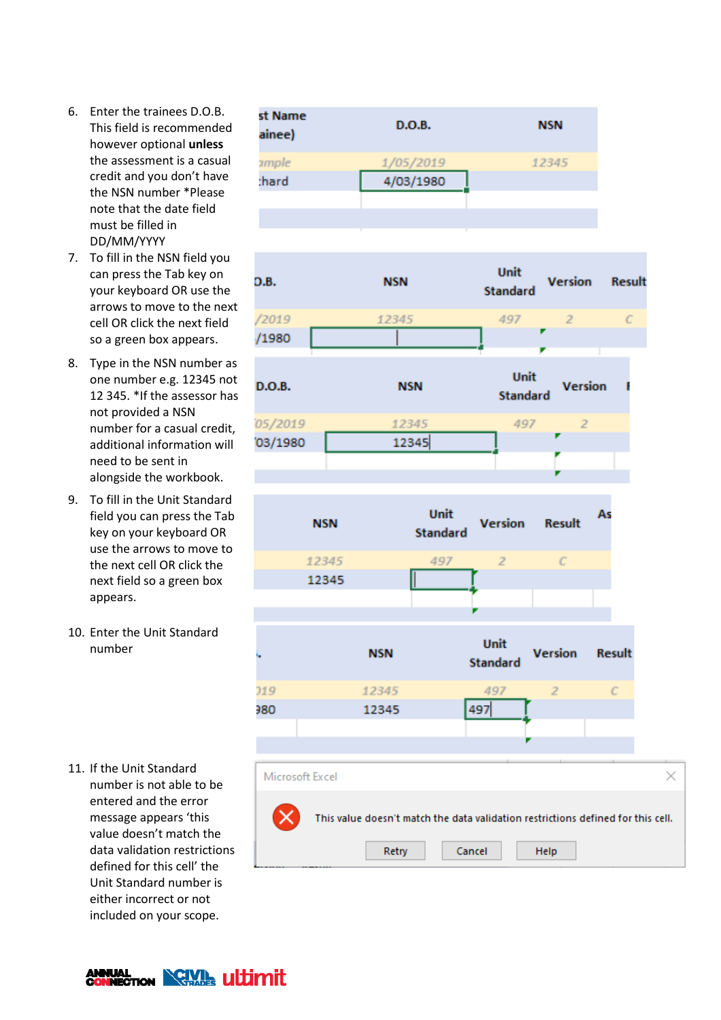- 6. Enter the trainees D.O.B. This field is recommended however optional **unless** the assessment is a casual credit and you don't have the NSN number \*Please note that the date field must be filled in DD/MM/YYYY
- 7. To fill in the NSN field you can press the Tab key on your keyboard OR use the arrows to move to the next cell OR click the next field so a green box appears.
- 8. Type in the NSN number as one number e.g. 12345 not 12 345. \*If the assessor has not provided a NSN number for a casual credit, additional information will need to be sent in alongside the workbook.
- 9. To fill in the Unit Standard field you can press the Tab key on your keyboard OR use the arrows to move to the next cell OR click the next field so a green box appears.
- 10. Enter the Unit Standard number

11. If the Unit Standard number is not able to be entered and the error message appears 'this value doesn't match the data validation restrictions defined for this cell' the Unit Standard number is either incorrect or not included on your scope.









**ANNUAL CONNECTION NORTHERN LILLIMITION**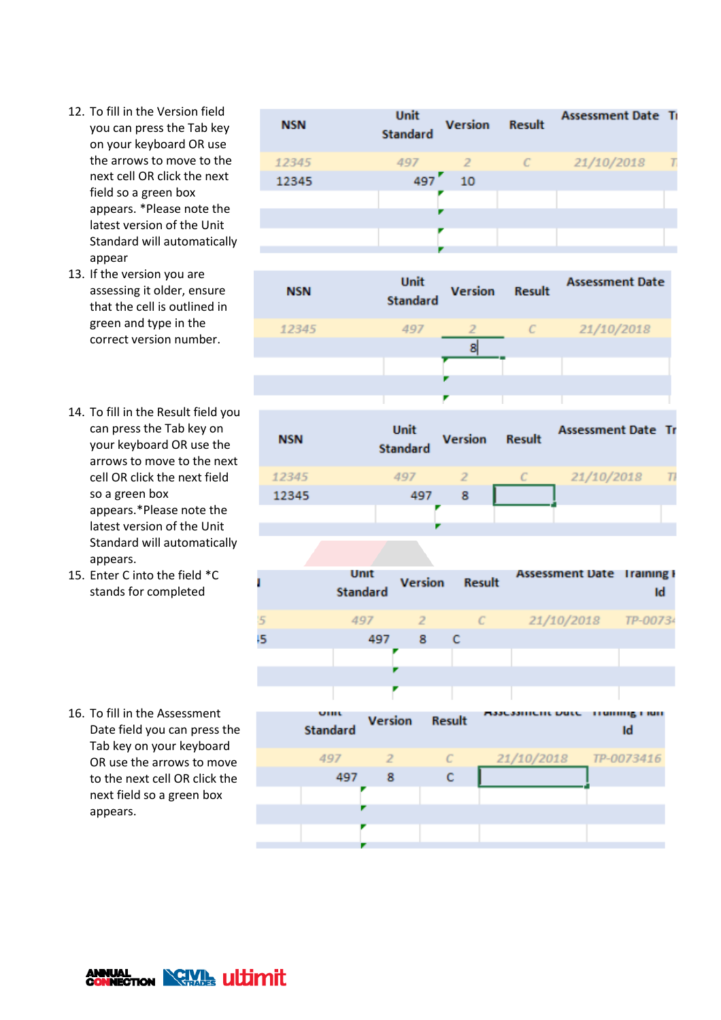- 12. To fill in the Version field you can press the Tab key on your keyboard OR use the arrows to move to the next cell OR click the next field so a green box appears. \*Please note the latest version of the Unit Standard will automatically appear
- 13. If the version you are assessing it older, ensure that the cell is outlined in green and type in the correct version number.
- 14. To fill in the Result field you can press the Tab key on your keyboard OR use the arrows to move to the next cell OR click the next field so a green box appears.\*Please note the latest version of the Unit Standard will automatically appears.
- 15. Enter C into the field \*C stands for completed

16. To fill in the Assessment Date field you can press the Tab key on your keyboard OR use the arrows to move to the next cell OR click the next field so a green box appears.

| <b>NSN</b> | Unit<br><b>Standard</b> | <b>Version</b> | <b>Result</b> | <b>Assessment Date Ti</b> |  |
|------------|-------------------------|----------------|---------------|---------------------------|--|
| 12345      | 497                     | $\mathbb{Z}$   | $\epsilon$    | 21/10/2018                |  |
| 12345      | 497                     | 10             |               |                           |  |
|            |                         |                |               |                           |  |
|            |                         |                |               |                           |  |
|            |                         |                |               |                           |  |
|            |                         |                |               |                           |  |



| <b>NSN</b> | <b>Unit</b><br>Standard | <b>Version</b> | <b>Result</b> | <b>Assessment Date Tr</b> |  |
|------------|-------------------------|----------------|---------------|---------------------------|--|
| 12345      | 497                     |                |               | 21/10/2018                |  |
| 12345      | 497                     | 8              |               |                           |  |
|            |                         |                |               |                           |  |
|            |                         |                |               |                           |  |

| ı  |                        | Unit<br><b>Standard</b> |          | <b>Version</b> Result | <b>Assessment Date Iraining F</b> | Id                       |
|----|------------------------|-------------------------|----------|-----------------------|-----------------------------------|--------------------------|
| 5  |                        | 497                     | $\sim$ 2 |                       | C 21/10/2018 TP-00734             |                          |
| 15 |                        |                         | 497 8 C  |                       |                                   |                          |
|    |                        |                         |          |                       |                                   |                          |
|    |                        |                         |          |                       |                                   |                          |
|    |                        |                         |          |                       |                                   |                          |
|    | UHR<br><b>Standard</b> | Version                 |          | <b>Result</b>         | Maacaannonit Dutto                | <b>THURSE FRIT</b><br>Id |
|    | 497                    | $\overline{2}$          |          | $\epsilon$            | 21/10/2018 TP-0073416             |                          |
|    | 497                    | - 8                     |          | с                     |                                   |                          |
|    |                        |                         |          |                       |                                   |                          |
|    |                        |                         |          |                       |                                   |                          |
|    |                        |                         |          |                       |                                   |                          |
|    |                        |                         |          |                       |                                   |                          |

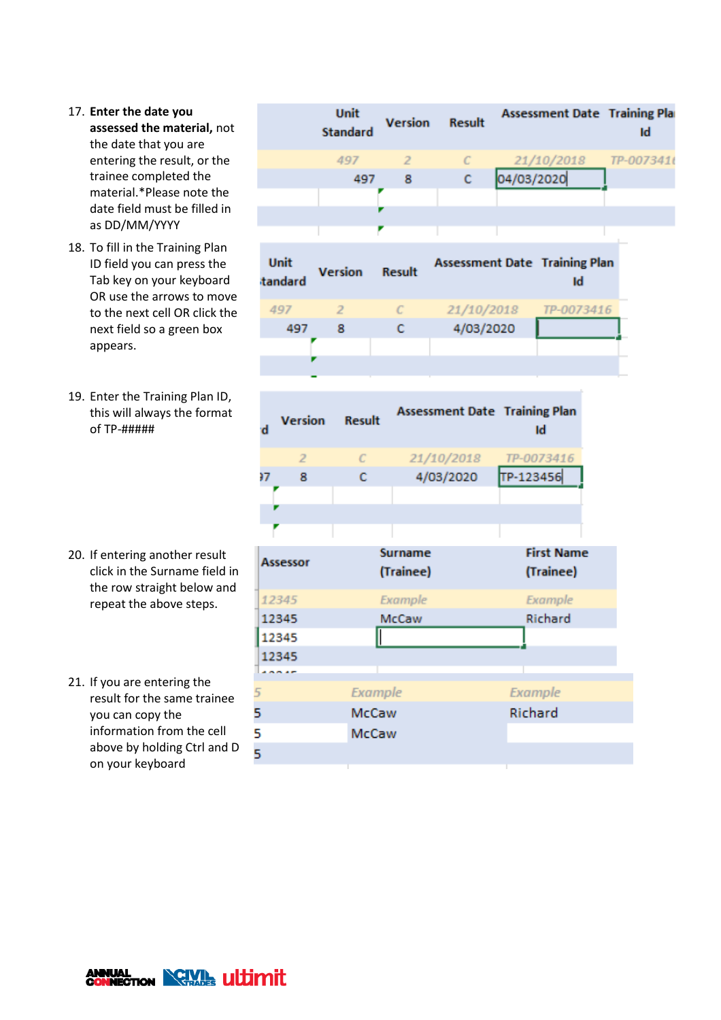- 17. **Enter the date you assessed the material,** not the date that you are entering the result, or the trainee completed the material.\*Please note the date field must be filled in as DD/MM/YYYY
- 18. To fill in the Training Plan ID field you can press the Tab key on your keyboard OR use the arrows to move to the next cell OR click the next field so a green box appears.
- 19. Enter the Training Plan ID, this will always the format of TP-#####

- 20. If entering another result click in the Surname field in the row straight below and repeat the above steps.
- 21. If you are entering the result for the same trainee you can copy the information from the cell above by holding Ctrl and D on your keyboard

|                        |                | <b>Unit</b><br><b>Standard</b> | Version                     | <b>Result</b>                        |            | <b>Assessment Date Training Pla</b>        | Id         |
|------------------------|----------------|--------------------------------|-----------------------------|--------------------------------------|------------|--------------------------------------------|------------|
|                        |                | 497                            | $\overline{z}$              | $\mathcal{C}$                        |            | 21/10/2018                                 | TP-007341t |
|                        |                | 497                            | 8                           | c                                    | 04/03/2020 |                                            |            |
|                        |                |                                |                             |                                      |            |                                            |            |
|                        |                |                                |                             |                                      |            |                                            |            |
|                        |                |                                |                             |                                      |            |                                            |            |
| <b>Unit</b><br>tandard |                | <b>Version</b>                 | <b>Result</b>               |                                      |            | <b>Assessment Date Training Plan</b><br>Id |            |
| 497                    |                | $\overline{2}$                 | $\mathcal{C}$               | 21/10/2018                           |            | TP-0073416                                 |            |
|                        | 497            | 8                              | c                           | 4/03/2020                            |            |                                            |            |
|                        |                |                                |                             |                                      |            |                                            |            |
|                        |                |                                |                             |                                      |            |                                            |            |
|                        |                |                                |                             |                                      |            |                                            |            |
| ď                      | <b>Version</b> | <b>Result</b>                  |                             | <b>Assessment Date Training Plan</b> |            | Id                                         |            |
|                        | $\overline{2}$ | $\mathcal{C}$                  |                             | 21/10/2018                           |            | TP-0073416                                 |            |
| 97                     | 8              | c                              |                             | 4/03/2020                            | TP-123456  |                                            |            |
|                        |                |                                |                             |                                      |            |                                            |            |
|                        |                |                                |                             |                                      |            |                                            |            |
|                        |                |                                |                             |                                      |            |                                            |            |
| <b>Assessor</b>        |                |                                | <b>Surname</b><br>(Trainee) |                                      |            | <b>First Name</b><br>(Trainee)             |            |
| 12345                  |                |                                | Example                     |                                      |            | Example                                    |            |
| 12345                  |                |                                | <b>McCaw</b>                |                                      |            | Richard                                    |            |
| 12345                  |                |                                | Π                           |                                      |            |                                            |            |
| 12345                  |                |                                |                             |                                      |            |                                            |            |
|                        |                |                                |                             |                                      |            |                                            |            |
| 5                      |                | <b>Example</b>                 |                             |                                      | Example    |                                            |            |
| 5                      |                | McCaw                          |                             |                                      | Richard    |                                            |            |
| 5                      |                | McCaw                          |                             |                                      |            |                                            |            |
| 5                      |                |                                |                             |                                      |            |                                            |            |
|                        |                |                                |                             |                                      |            |                                            |            |

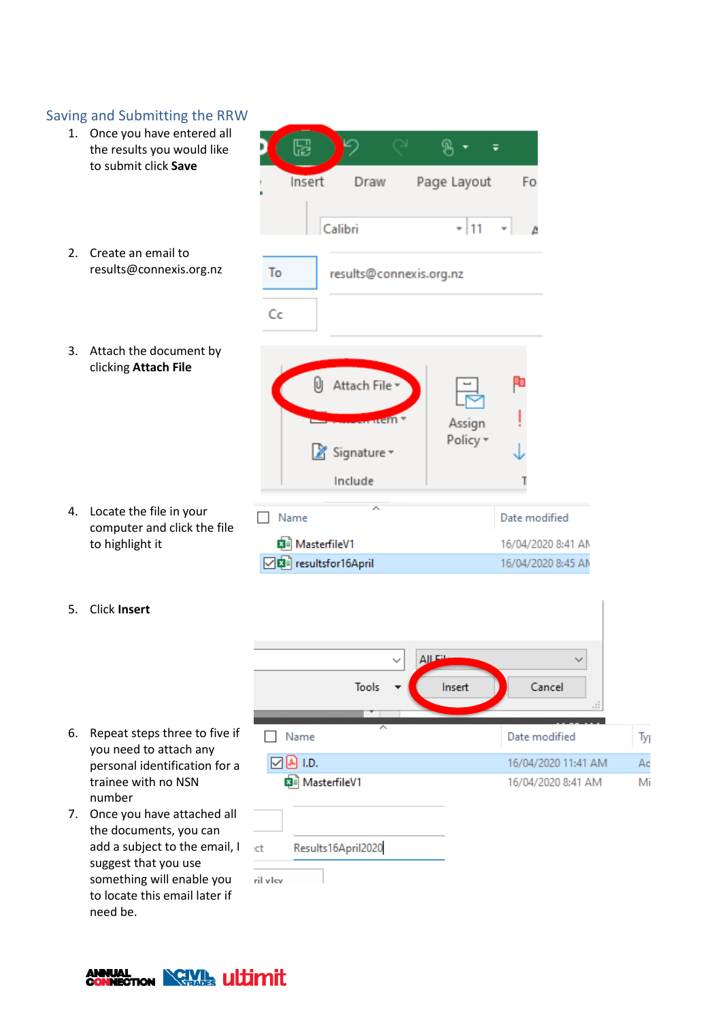#### Saving and Submitting the RRW 1. Once you have entered all 9、▼  $\overline{\bullet}$ 넓 the results you would like to submit click **Save** Insert Draw Page Layout Fo Calibri  $-111$ 2. Create an email to results@connexis.org.nz To results@connexis.org.nz Cc 3. Attach the document by clicking **Attach File** U Attach File em Assign Policy \* Signature v Include 4. Locate the file in your Name Date modified computer and click the file **Ball MasterfileV1** to highlight it 16/04/2020 8:41 AM □ nesultsfor16April 16/04/2020 8:45 AM 5. Click **Insert AJLER**  $\checkmark$ Cancel **Tools** Insert 6. Repeat steps three to five if Name Date modified Ty you need to attach any 16/04/2020 11:41 AM  $\boxdot$  & I.D. Ac personal identification for a trainee with no NSN 图 MasterfileV1 16/04/2020 8:41 AM Mi number 7. Once you have attached all the documents, you can add a subject to the email, I Results16April2020 :ct

to locate this email later if need be.

suggest that you use something will enable you



ril vlcv